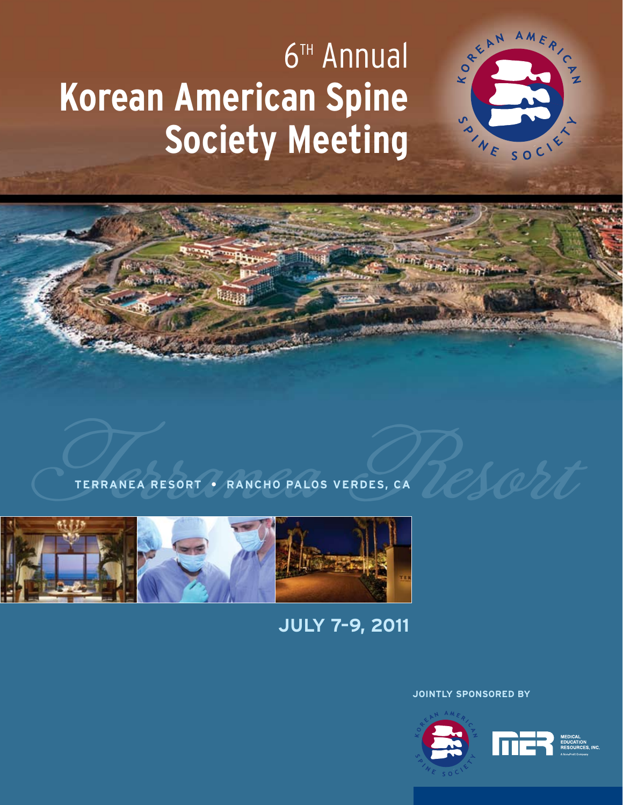# **6<sup>TH</sup>** Annual **Korean American Spine Society Meeting**





## **July 7–9, 2011**

**Jointly Sponsored by**



AMERICA

SOCIETY

KORELL

SON NE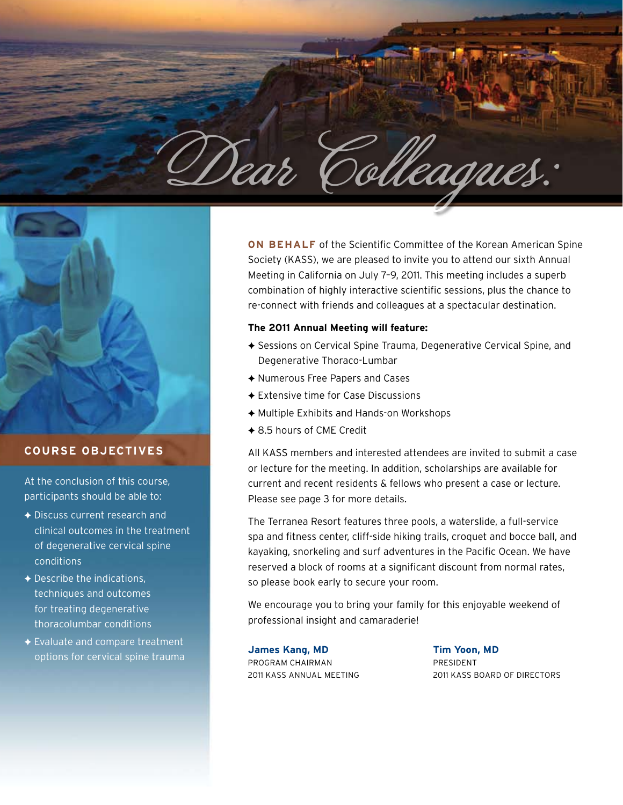



#### **Course Objectives**

At the conclusion of this course, participants should be able to:

- $\triangle$  Discuss current research and clinical outcomes in the treatment of degenerative cervical spine conditions
- $\triangle$  Describe the indications, techniques and outcomes for treating degenerative thoracolumbar conditions
- $\triangle$  Evaluate and compare treatment options for cervical spine trauma

**ON BEHALF** of the Scientific Committee of the Korean American Spine Society (KASS), we are pleased to invite you to attend our sixth Annual Meeting in California on July 7–9, 2011. This meeting includes a superb combination of highly interactive scientific sessions, plus the chance to re-connect with friends and colleagues at a spectacular destination.

#### **The 2011 Annual Meeting will feature:**

- ◆ Sessions on Cervical Spine Trauma, Degenerative Cervical Spine, and Degenerative Thoraco-Lumbar
- ◆ Numerous Free Papers and Cases
- $\triangle$  Extensive time for Case Discussions
- $\triangle$  Multiple Exhibits and Hands-on Workshops
- ◆ 8.5 hours of CME Credit

All KASS members and interested attendees are invited to submit a case or lecture for the meeting. In addition, scholarships are available for current and recent residents & fellows who present a case or lecture. Please see page 3 for more details.

The Terranea Resort features three pools, a waterslide, a full-service spa and fitness center, cliff-side hiking trails, croquet and bocce ball, and kayaking, snorkeling and surf adventures in the Pacific Ocean. We have reserved a block of rooms at a significant discount from normal rates, so please book early to secure your room.

We encourage you to bring your family for this enjoyable weekend of professional insight and camaraderie!

**James Kang, MD Tim Yoon, MD** PROGRAM CHAIRMAN PRESIDENT

2011 KASS Annual Meeting 2011 KASS Board of Directors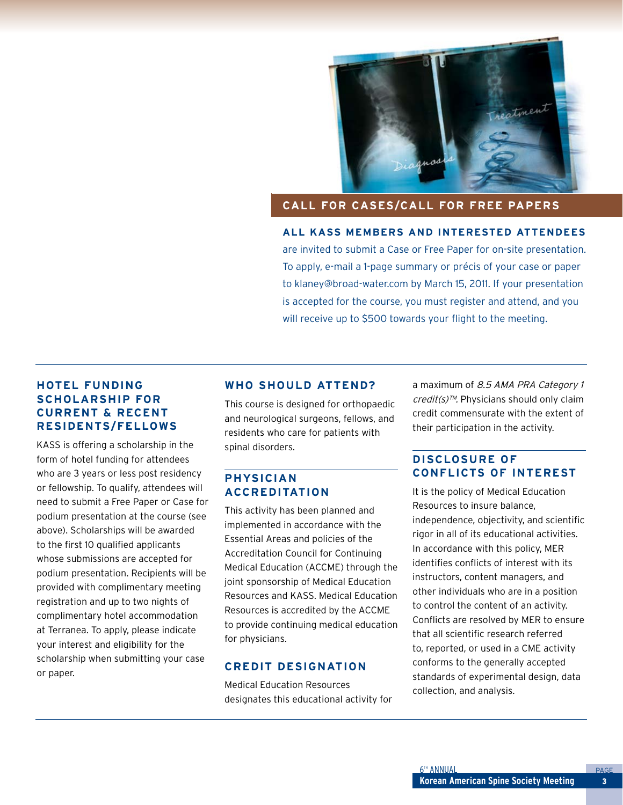

#### **Call For Cases/Call For Free Papers**

**All KASS members and interested attendees** are invited to submit a Case or Free Paper for on-site presentation. To apply, e-mail a 1-page summary or précis of your case or paper to klaney@broad-water.com by March 15, 2011. If your presentation is accepted for the course, you must register and attend, and you will receive up to \$500 towards your flight to the meeting.

#### **Hotel Funding Scholarship for Current & Recent Residents/Fellows**

KASS is offering a scholarship in the form of hotel funding for attendees who are 3 years or less post residency or fellowship. To qualify, attendees will need to submit a Free Paper or Case for podium presentation at the course (see above). Scholarships will be awarded to the first 10 qualified applicants whose submissions are accepted for podium presentation. Recipients will be provided with complimentary meeting registration and up to two nights of complimentary hotel accommodation at Terranea. To apply, please indicate your interest and eligibility for the scholarship when submitting your case or paper.

#### **Who Should Attend?**

This course is designed for orthopaedic and neurological surgeons, fellows, and residents who care for patients with spinal disorders.

#### **Physician Accreditation**

This activity has been planned and implemented in accordance with the Essential Areas and policies of the Accreditation Council for Continuing Medical Education (ACCME) through the joint sponsorship of Medical Education Resources and KASS. Medical Education Resources is accredited by the ACCME to provide continuing medical education for physicians.

#### **Credit Designation**

Medical Education Resources designates this educational activity for a maximum of 8.5 AMA PRA Category 1 credit(s)™. Physicians should only claim credit commensurate with the extent of their participation in the activity.

#### **Disclosure of Conflicts of Interest**

It is the policy of Medical Education Resources to insure balance, independence, objectivity, and scientific rigor in all of its educational activities. In accordance with this policy, MER identifies conflicts of interest with its instructors, content managers, and other individuals who are in a position to control the content of an activity. Conflicts are resolved by MER to ensure that all scientific research referred to, reported, or used in a CME activity conforms to the generally accepted standards of experimental design, data collection, and analysis.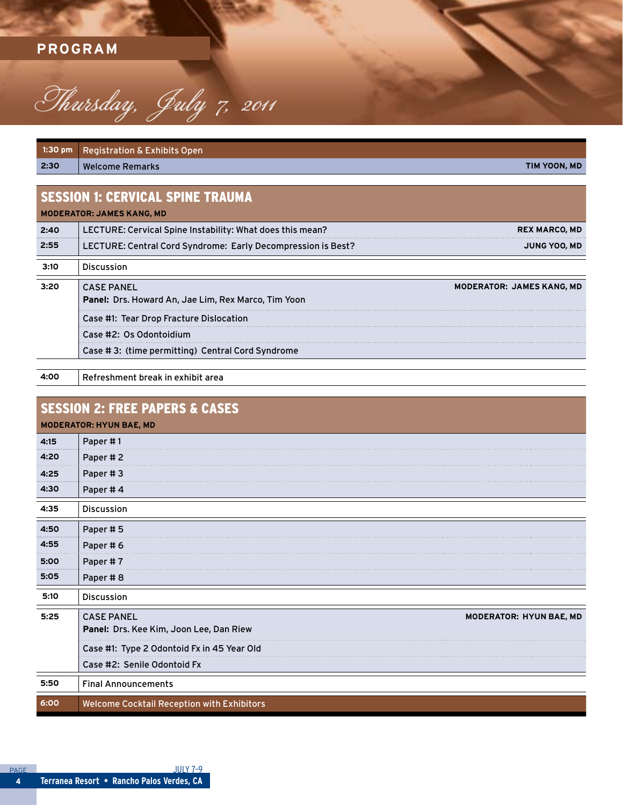### **PROGRAM**



| $1:30$ pm | <b>Registration &amp; Exhibits Open</b>                      |                                  |
|-----------|--------------------------------------------------------------|----------------------------------|
| 2:30      | <b>Welcome Remarks</b>                                       | TIM YOON, MD                     |
|           |                                                              |                                  |
|           | <b>SESSION 1: CERVICAL SPINE TRAUMA</b>                      |                                  |
|           | <b>MODERATOR: JAMES KANG, MD</b>                             |                                  |
| 2:40      | LECTURE: Cervical Spine Instability: What does this mean?    | <b>REX MARCO, MD</b>             |
| 2:55      | LECTURE: Central Cord Syndrome: Early Decompression is Best? | <b>JUNG YOO, MD</b>              |
| 3:10      | <b>Discussion</b>                                            |                                  |
| 3:20      | <b>CASE PANEL</b>                                            | <b>MODERATOR: JAMES KANG, MD</b> |
|           | <b>Panel: Drs. Howard An, Jae Lim, Rex Marco, Tim Yoon</b>   |                                  |
|           | Case #1: Tear Drop Fracture Dislocation                      |                                  |
|           | Case #2: Os Odontoidium                                      |                                  |
|           | Case #3: (time permitting) Central Cord Syndrome             |                                  |

**4:00** Refreshment break in exhibit area

|      | <b>SESSION 2: FREE PAPERS &amp; CASES</b><br><b>MODERATOR: HYUN BAE, MD</b>             |
|------|-----------------------------------------------------------------------------------------|
| 4:15 | Paper #1                                                                                |
| 4:20 | Paper #2                                                                                |
| 4:25 | Paper #3                                                                                |
| 4:30 | Paper #4                                                                                |
| 4:35 | Discussion                                                                              |
| 4:50 | Paper #5                                                                                |
| 4:55 | Paper #6                                                                                |
| 5:00 | Paper #7                                                                                |
| 5:05 | Paper #8                                                                                |
| 5:10 | Discussion                                                                              |
| 5:25 | <b>CASE PANEL</b><br>MODERATOR: HYUN BAE, MD<br>Panel: Drs. Kee Kim, Joon Lee, Dan Riew |
|      | Case #1: Type 2 Odontoid Fx in 45 Year Old                                              |
|      | Case #2: Senile Odontoid Fx                                                             |
| 5:50 | <b>Final Announcements</b>                                                              |
| 6:00 | Welcome Cocktail Reception with Exhibitors                                              |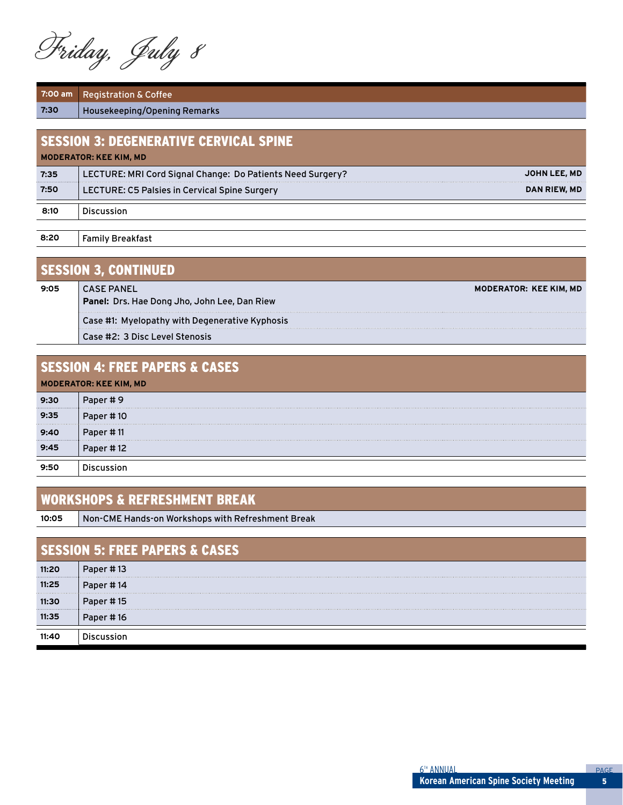Friday, July 8

**7:00 am** Registration & Coffee **7:30** Housekeeping/Opening Remarks

| <b>SESSION 3: DEGENERATIVE CERVICAL SPINE</b><br><b>MODERATOR: KEE KIM, MD</b> |                                                            |              |
|--------------------------------------------------------------------------------|------------------------------------------------------------|--------------|
| 7:35                                                                           | LECTURE: MRI Cord Signal Change: Do Patients Need Surgery? | JOHN LEE, MD |
| 7:50                                                                           | <b>LECTURE: C5 Palsies in Cervical Spine Surgery</b>       | DAN RIEW, MD |
| 8:10                                                                           | <b>Discussion</b>                                          |              |
|                                                                                |                                                            |              |

**8:20** Family Breakfast

| <u> SESSION 3, CONTINUED</u> |                                                                   |  |
|------------------------------|-------------------------------------------------------------------|--|
| 9:05                         | <b>CASE PANEL</b><br>Panel: Drs. Hae Dong Jho, John Lee, Dan Riew |  |
|                              | Case #1: Myelopathy with Degenerative Kyphosis                    |  |
|                              | Case #2: 3 Disc Level Stenosis                                    |  |

| <b>SESSION 4: FREE PAPERS &amp; CASES</b> |           |  |
|-------------------------------------------|-----------|--|
| <b>MODERATOR: KEE KIM, MD</b>             |           |  |
| 9:30                                      | Paper #9  |  |
| 9:35                                      | Paper #10 |  |
| 9:40                                      | Paper #11 |  |
| 9:45                                      | Paper #12 |  |
| 9:50                                      |           |  |

#### Workshops & Refreshment Break

**10:05** Non-CME Hands-on Workshops with Refreshment Break

| <b>SESSION 5: FREE PAPERS &amp; CASES</b> |           |  |
|-------------------------------------------|-----------|--|
| 11:20                                     | Paper #13 |  |
| 11:25                                     | Paper #14 |  |
| 11:30<br>                                 | Paper #15 |  |
| 11:35                                     | Paper #16 |  |
|                                           |           |  |

**Moderator: Kee Kim, MD**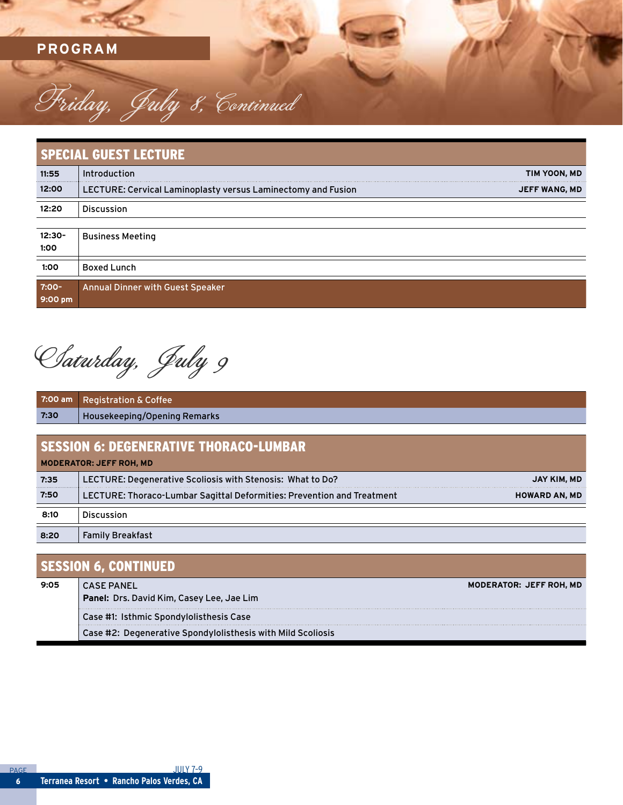**PROGRAM**

| <b>SPECIAL GUEST LECTURE</b> |                                                              |                      |
|------------------------------|--------------------------------------------------------------|----------------------|
| 11:55                        | Introduction                                                 | TIM YOON, MD         |
| 12:00                        | LECTURE: Cervical Laminoplasty versus Laminectomy and Fusion | <b>JEFF WANG, MD</b> |
| 12:20                        | <b>Discussion</b>                                            |                      |
| 12:30-<br>1:00               | <b>Business Meeting</b>                                      |                      |
| 1:00                         | <b>Boxed Lunch</b>                                           |                      |
| 7:00-<br>9:00 pm             | <b>Annual Dinner with Guest Speaker</b>                      |                      |

Saturday, July 9

Friday, July 8, Continued

| $7:00$ am                                     | <b>Registration &amp; Coffee</b>                                       |                      |
|-----------------------------------------------|------------------------------------------------------------------------|----------------------|
| 7:30                                          | Housekeeping/Opening Remarks                                           |                      |
|                                               |                                                                        |                      |
| <b>SESSION 6: DEGENERATIVE THORACO-LUMBAR</b> |                                                                        |                      |
| <b>MODERATOR: JEFF ROH, MD</b>                |                                                                        |                      |
| 7:35                                          | LECTURE: Degenerative Scoliosis with Stenosis: What to Do?             | JAY KIM, MD          |
| 7:50                                          | LECTURE: Thoraco-Lumbar Sagittal Deformities: Prevention and Treatment | <b>HOWARD AN, MD</b> |
| 8:10                                          | <b>Discussion</b>                                                      |                      |
| 8:20                                          | <b>Family Breakfast</b>                                                |                      |

#### SESSION 6, CONTINUED

| 9:05 | <b>MODERATOR: JEFF ROH, MD</b><br><b>CASE PANEL</b>         |
|------|-------------------------------------------------------------|
|      | <b>Panel:</b> Drs. David Kim, Casey Lee, Jae Lim            |
|      | Case #1: Isthmic Spondylolisthesis Case                     |
|      | Case #2: Degenerative Spondylolisthesis with Mild Scoliosis |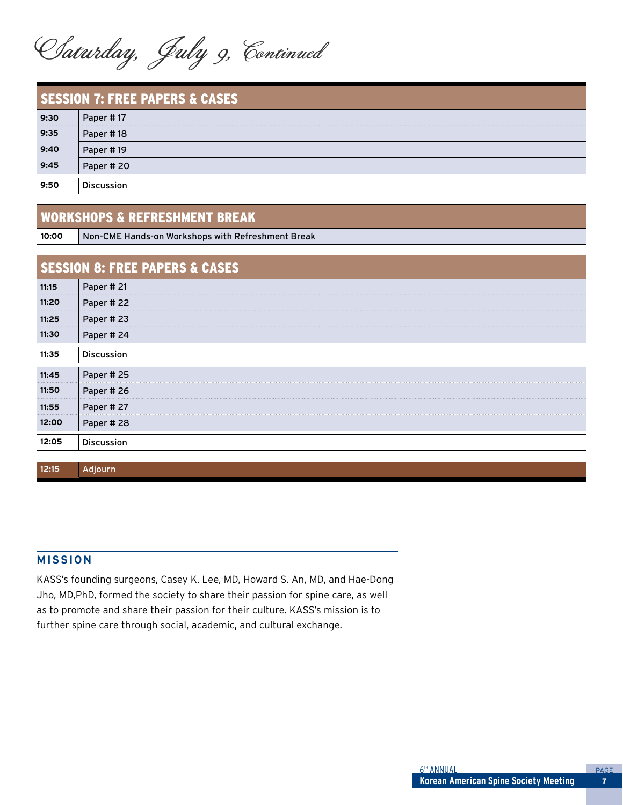Saturday, July 9, Continued

| <b>SESSION 7: FREE PAPERS &amp; CASES</b> |            |  |
|-------------------------------------------|------------|--|
| 9:30                                      | Paper #17  |  |
| 9:35                                      | Paper #18  |  |
| 9:40                                      | Paper #19  |  |
| 9:45                                      | Paper #20  |  |
| 9:50                                      | Discussion |  |

#### Workshops & Refreshment Break

**10:00** Non-CME Hands-on Workshops with Refreshment Break

| <b>SESSION 8: FREE PAPERS &amp; CASES</b> |  |  |
|-------------------------------------------|--|--|
| Paper #21                                 |  |  |
| Paper #22                                 |  |  |
| Paper #23                                 |  |  |
| Paper #24                                 |  |  |
| <b>Discussion</b>                         |  |  |
| Paper #25                                 |  |  |
| Paper #26                                 |  |  |
| Paper #27                                 |  |  |
| Paper #28                                 |  |  |
| <b>Discussion</b>                         |  |  |
|                                           |  |  |

#### **MISSION**

**12:15** Adjourn

KASS's founding surgeons, Casey K. Lee, MD, Howard S. An, MD, and Hae-Dong Jho, MD,PhD, formed the society to share their passion for spine care, as well as to promote and share their passion for their culture. KASS's mission is to further spine care through social, academic, and cultural exchange.

7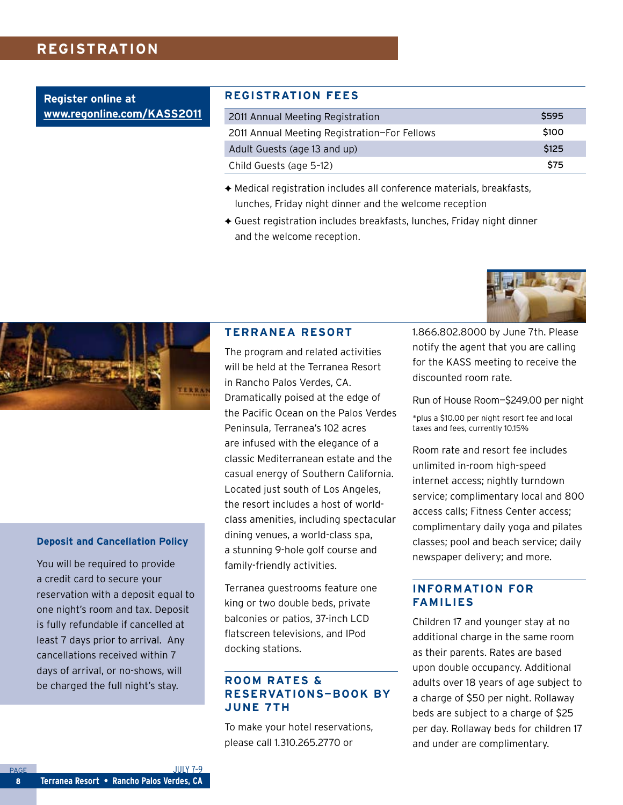#### **Registration**

**Register online at www.regonline.com/KASS2011**

#### **Registration Fees**

| 2011 Annual Meeting Registration             | <b>S595</b> |
|----------------------------------------------|-------------|
| 2011 Annual Meeting Registration-For Fellows | \$100       |
| Adult Guests (age 13 and up)                 | <b>S125</b> |
| Child Guests (age 5-12)                      | <b>S75</b>  |

- $\triangle$  Medical registration includes all conference materials, breakfasts, lunches, Friday night dinner and the welcome reception
- $\triangle$  Guest registration includes breakfasts, lunches, Friday night dinner and the welcome reception.



#### **Deposit and Cancellation Policy**

You will be required to provide a credit card to secure your reservation with a deposit equal to one night's room and tax. Deposit is fully refundable if cancelled at least 7 days prior to arrival. Any cancellations received within 7 days of arrival, or no-shows, will be charged the full night's stay.

#### **Terranea Resort**

The program and related activities will be held at the Terranea Resort in Rancho Palos Verdes, CA. Dramatically poised at the edge of the Pacific Ocean on the Palos Verdes Peninsula, Terranea's 102 acres are infused with the elegance of a classic Mediterranean estate and the casual energy of Southern California. Located just south of Los Angeles, the resort includes a host of worldclass amenities, including spectacular dining venues, a world-class spa, a stunning 9-hole golf course and family-friendly activities.

Terranea guestrooms feature one king or two double beds, private balconies or patios, 37-inch LCD flatscreen televisions, and IPod docking stations.

#### **Room Rates & Reservations—Book by June 7th**

To make your hotel reservations, please call 1.310.265.2770 or

1.866.802.8000 by June 7th. Please notify the agent that you are calling for the KASS meeting to receive the discounted room rate.

Run of House Room—\$249.00 per night

\*plus a \$10.00 per night resort fee and local taxes and fees, currently 10.15%

Room rate and resort fee includes unlimited in-room high-speed internet access; nightly turndown service; complimentary local and 800 access calls; Fitness Center access; complimentary daily yoga and pilates classes; pool and beach service; daily newspaper delivery; and more.

#### **Information for Families**

Children 17 and younger stay at no additional charge in the same room as their parents. Rates are based upon double occupancy. Additional adults over 18 years of age subject to a charge of \$50 per night. Rollaway beds are subject to a charge of \$25 per day. Rollaway beds for children 17 and under are complimentary.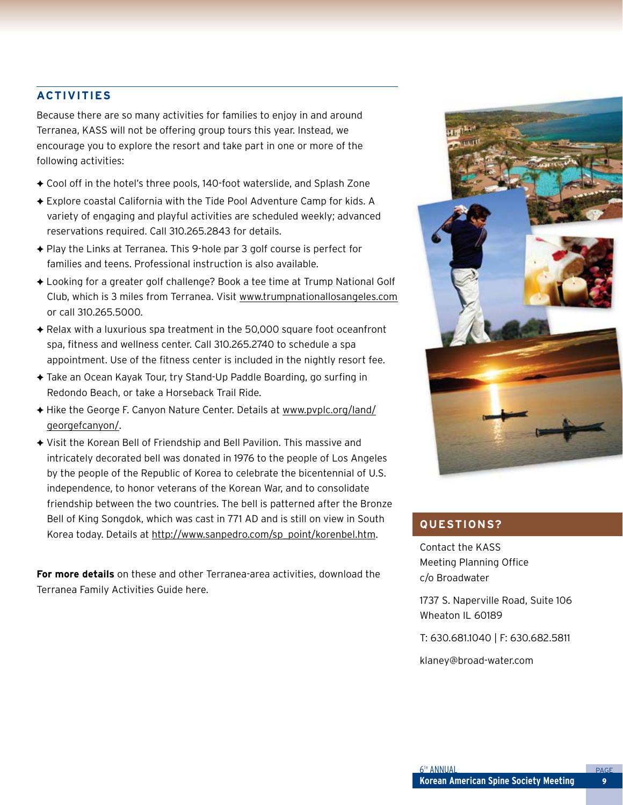#### **Activities**

Because there are so many activities for families to enjoy in and around Terranea, KASS will not be offering group tours this year. Instead, we encourage you to explore the resort and take part in one or more of the following activities:

- ◆ Cool off in the hotel's three pools, 140-foot waterslide, and Splash Zone
- ◆ Explore coastal California with the Tide Pool Adventure Camp for kids. A variety of engaging and playful activities are scheduled weekly; advanced reservations required. Call 310.265.2843 for details.
- $\triangle$  Play the Links at Terranea. This 9-hole par 3 golf course is perfect for families and teens. Professional instruction is also available.
- ◆ Looking for a greater golf challenge? Book a tee time at Trump National Golf Club, which is 3 miles from Terranea. Visit www.trumpnationallosangeles.com or call 310.265.5000.
- $\triangle$  Relax with a luxurious spa treatment in the 50,000 square foot oceanfront spa, fitness and wellness center. Call 310.265.2740 to schedule a spa appointment. Use of the fitness center is included in the nightly resort fee.
- ◆ Take an Ocean Kayak Tour, try Stand-Up Paddle Boarding, go surfing in Redondo Beach, or take a Horseback Trail Ride.
- ◆ Hike the George F. Canyon Nature Center. Details at www.pvplc.org/land/ georgefcanyon/.
- ◆ Visit the Korean Bell of Friendship and Bell Pavilion. This massive and intricately decorated bell was donated in 1976 to the people of Los Angeles by the people of the Republic of Korea to celebrate the bicentennial of U.S. independence, to honor veterans of the Korean War, and to consolidate friendship between the two countries. The bell is patterned after the Bronze Bell of King Songdok, which was cast in 771 AD and is still on view in South Korea today. Details at http://www.sanpedro.com/sp\_point/korenbel.htm.

**For more details** on these and other Terranea-area activities, download the Terranea Family Activities Guide here.



#### **Questions?**

Contact the KASS Meeting Planning Office c/o Broadwater

1737 S. Naperville Road, Suite 106 Wheaton IL 60189

T: 630.681.1040 | F: 630.682.5811

klaney@broad-water.com